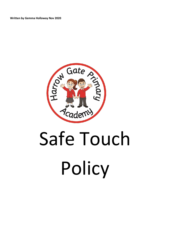**Written by Gemma Holloway Nov 2020**



# Safe Touch Policy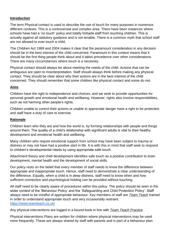#### **Introduction**

The term Physical contact is used to describe the use of touch for many purposes in numerous different contexts. This is a controversial and complex area. There have been instances where schools have had a 'no touch' policy and totally forbade staff from touching children. This is actually against all statutory guidance and is not tenable. There is a common myth that school staff are not allowed to ever touch a child.

The Children Act 1989 and 2004 makes it clear that the paramount consideration in any decision should be in the best interest of the child concerned. Paramount in this context means that it should be the first thing people think about and it takes precedence over other considerations. There are many circumstances where touch is a necessity.

Physical contact should always be about meeting the needs of the child. Actions that can be ambiguous are open to misinterpretation. Staff should always think before making any physical contact. They should be clear about why their actions are in the best interest of the child concerned. They should remember that some children like physical contact and some do not.

#### **Aims**

Children have the right to independence and choices, and we seek to provide opportunities for personal growth and emotional health and wellbeing. However, rights also involve responsibilities, such as not harming other people's rights.

Children unable to control their actions or unable to appreciate danger have a right to be protected; and staff have a duty of care to exercise.

#### **Rationale**

Children learn who they are and how the world is, by forming relationships with people and things around them. The quality of a child's relationship with significant adults is vital to their healthy development and emotional health and wellbeing.

Many children who require emotional support from school may have been subject to trauma or distress or may not have had a positive start in life. It is with this in mind that staff seek to respond to children's developmental needs by using appropriate safe touch.

Attachment theory and child development identifies safe touch as a positive contribution to brain development, mental health and the development of social skills.

Our policy rests on the belief that every member of staff needs to know the difference between appropriate and inappropriate touch. Hence, staff need to demonstrate a clear understanding of the difference. Equally, when a child is in deep distress, staff need to know when and how sufficient connection and psychological holding can be provided without touching.

All staff need to be clearly aware of procedures within this policy. The policy should be seen in the wider context of the 'Behaviour Policy' and the 'Safeguarding and Child Protection Policy'. Staff always need to be mindful of appropriate behaviour. Key members of staff are *Team Teach* trained in order to understand appropriate touch and very occasionally restraint. <https://www.teamteach.co.uk/>

Any physical interventions are logged in a bound book in line with *Team Teach Practice*.

Physical interventions Plans are written for children where physical interventions may be used more frequently. These are always shared by staff with parents and is part of a behaviour plan.